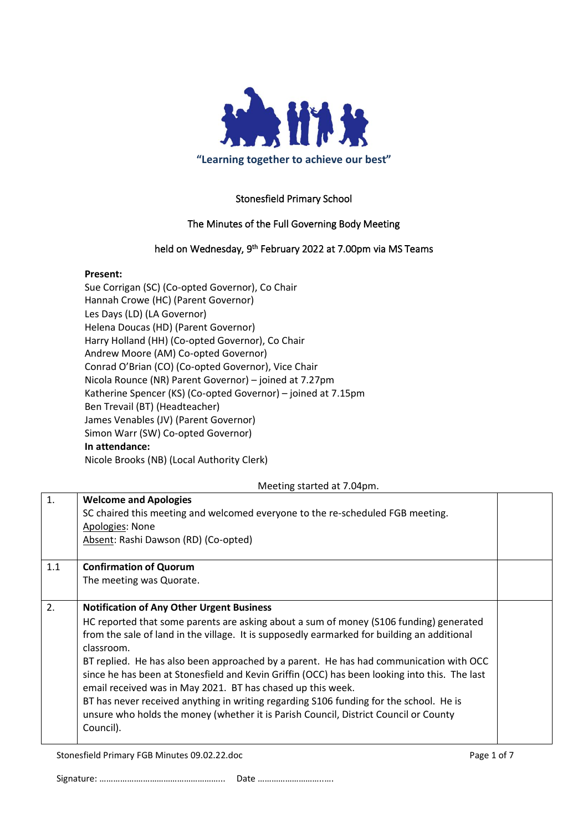

# Stonesfield Primary School

# The Minutes of the Full Governing Body Meeting

# held on Wednesday, 9<sup>th</sup> February 2022 at 7.00pm via MS Teams

#### **Present:**

Sue Corrigan (SC) (Co-opted Governor), Co Chair Hannah Crowe (HC) (Parent Governor) Les Days (LD) (LA Governor) Helena Doucas (HD) (Parent Governor) Harry Holland (HH) (Co-opted Governor), Co Chair Andrew Moore (AM) Co-opted Governor) Conrad O'Brian (CO) (Co-opted Governor), Vice Chair Nicola Rounce (NR) Parent Governor) – joined at 7.27pm Katherine Spencer (KS) (Co-opted Governor) – joined at 7.15pm Ben Trevail (BT) (Headteacher) James Venables (JV) (Parent Governor) Simon Warr (SW) Co-opted Governor) **In attendance:** Nicole Brooks (NB) (Local Authority Clerk)

### Meeting started at 7.04pm.

| 1.  | <b>Welcome and Apologies</b>                                                                                                                                 |  |
|-----|--------------------------------------------------------------------------------------------------------------------------------------------------------------|--|
|     | SC chaired this meeting and welcomed everyone to the re-scheduled FGB meeting.                                                                               |  |
|     | Apologies: None                                                                                                                                              |  |
|     | Absent: Rashi Dawson (RD) (Co-opted)                                                                                                                         |  |
| 1.1 | <b>Confirmation of Quorum</b>                                                                                                                                |  |
|     | The meeting was Quorate.                                                                                                                                     |  |
| 2.  | <b>Notification of Any Other Urgent Business</b>                                                                                                             |  |
|     | HC reported that some parents are asking about a sum of money (\$106 funding) generated                                                                      |  |
|     | from the sale of land in the village. It is supposedly earmarked for building an additional<br>classroom.                                                    |  |
|     | BT replied. He has also been approached by a parent. He has had communication with OCC                                                                       |  |
|     | since he has been at Stonesfield and Kevin Griffin (OCC) has been looking into this. The last<br>email received was in May 2021. BT has chased up this week. |  |
|     | BT has never received anything in writing regarding S106 funding for the school. He is                                                                       |  |
|     | unsure who holds the money (whether it is Parish Council, District Council or County                                                                         |  |
|     | Council).                                                                                                                                                    |  |

Stonesfield Primary FGB Minutes 09.02.22.doc **Page 1 of 7** and 2011 12:05:06 Page 1 of 7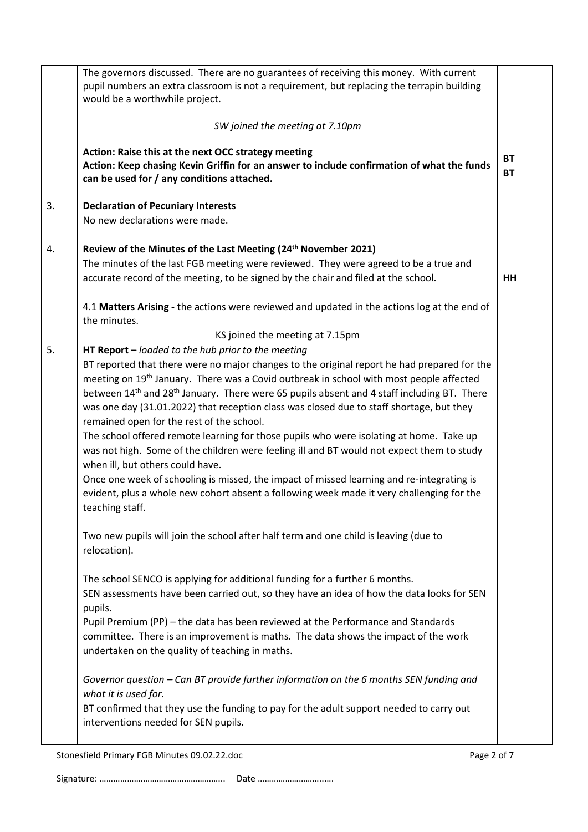|    | The governors discussed. There are no guarantees of receiving this money. With current<br>pupil numbers an extra classroom is not a requirement, but replacing the terrapin building<br>would be a worthwhile project.                                                                                                                                                                                                                                                                                                                                                                                                                                                                                                                                                                                                                                                                                     |                        |  |  |  |
|----|------------------------------------------------------------------------------------------------------------------------------------------------------------------------------------------------------------------------------------------------------------------------------------------------------------------------------------------------------------------------------------------------------------------------------------------------------------------------------------------------------------------------------------------------------------------------------------------------------------------------------------------------------------------------------------------------------------------------------------------------------------------------------------------------------------------------------------------------------------------------------------------------------------|------------------------|--|--|--|
|    | SW joined the meeting at 7.10pm                                                                                                                                                                                                                                                                                                                                                                                                                                                                                                                                                                                                                                                                                                                                                                                                                                                                            |                        |  |  |  |
|    | Action: Raise this at the next OCC strategy meeting<br>Action: Keep chasing Kevin Griffin for an answer to include confirmation of what the funds<br>can be used for / any conditions attached.                                                                                                                                                                                                                                                                                                                                                                                                                                                                                                                                                                                                                                                                                                            | <b>BT</b><br><b>BT</b> |  |  |  |
| 3. | <b>Declaration of Pecuniary Interests</b>                                                                                                                                                                                                                                                                                                                                                                                                                                                                                                                                                                                                                                                                                                                                                                                                                                                                  |                        |  |  |  |
|    | No new declarations were made.                                                                                                                                                                                                                                                                                                                                                                                                                                                                                                                                                                                                                                                                                                                                                                                                                                                                             |                        |  |  |  |
| 4. | Review of the Minutes of the Last Meeting (24th November 2021)                                                                                                                                                                                                                                                                                                                                                                                                                                                                                                                                                                                                                                                                                                                                                                                                                                             |                        |  |  |  |
|    | The minutes of the last FGB meeting were reviewed. They were agreed to be a true and                                                                                                                                                                                                                                                                                                                                                                                                                                                                                                                                                                                                                                                                                                                                                                                                                       |                        |  |  |  |
|    | accurate record of the meeting, to be signed by the chair and filed at the school.                                                                                                                                                                                                                                                                                                                                                                                                                                                                                                                                                                                                                                                                                                                                                                                                                         | HH                     |  |  |  |
|    | 4.1 Matters Arising - the actions were reviewed and updated in the actions log at the end of<br>the minutes.                                                                                                                                                                                                                                                                                                                                                                                                                                                                                                                                                                                                                                                                                                                                                                                               |                        |  |  |  |
|    | KS joined the meeting at 7.15pm                                                                                                                                                                                                                                                                                                                                                                                                                                                                                                                                                                                                                                                                                                                                                                                                                                                                            |                        |  |  |  |
| 5. | HT Report $-$ loaded to the hub prior to the meeting                                                                                                                                                                                                                                                                                                                                                                                                                                                                                                                                                                                                                                                                                                                                                                                                                                                       |                        |  |  |  |
|    | BT reported that there were no major changes to the original report he had prepared for the<br>meeting on 19 <sup>th</sup> January. There was a Covid outbreak in school with most people affected<br>between 14 <sup>th</sup> and 28 <sup>th</sup> January. There were 65 pupils absent and 4 staff including BT. There<br>was one day (31.01.2022) that reception class was closed due to staff shortage, but they<br>remained open for the rest of the school.<br>The school offered remote learning for those pupils who were isolating at home. Take up<br>was not high. Some of the children were feeling ill and BT would not expect them to study<br>when ill, but others could have.<br>Once one week of schooling is missed, the impact of missed learning and re-integrating is<br>evident, plus a whole new cohort absent a following week made it very challenging for the<br>teaching staff. |                        |  |  |  |
|    | Two new pupils will join the school after half term and one child is leaving (due to<br>relocation).                                                                                                                                                                                                                                                                                                                                                                                                                                                                                                                                                                                                                                                                                                                                                                                                       |                        |  |  |  |
|    | The school SENCO is applying for additional funding for a further 6 months.<br>SEN assessments have been carried out, so they have an idea of how the data looks for SEN<br>pupils.<br>Pupil Premium (PP) - the data has been reviewed at the Performance and Standards<br>committee. There is an improvement is maths. The data shows the impact of the work<br>undertaken on the quality of teaching in maths.                                                                                                                                                                                                                                                                                                                                                                                                                                                                                           |                        |  |  |  |
|    | Governor question - Can BT provide further information on the 6 months SEN funding and<br>what it is used for.<br>BT confirmed that they use the funding to pay for the adult support needed to carry out<br>interventions needed for SEN pupils.                                                                                                                                                                                                                                                                                                                                                                                                                                                                                                                                                                                                                                                          |                        |  |  |  |

Stonesfield Primary FGB Minutes 09.02.22.doc Page 2 of 7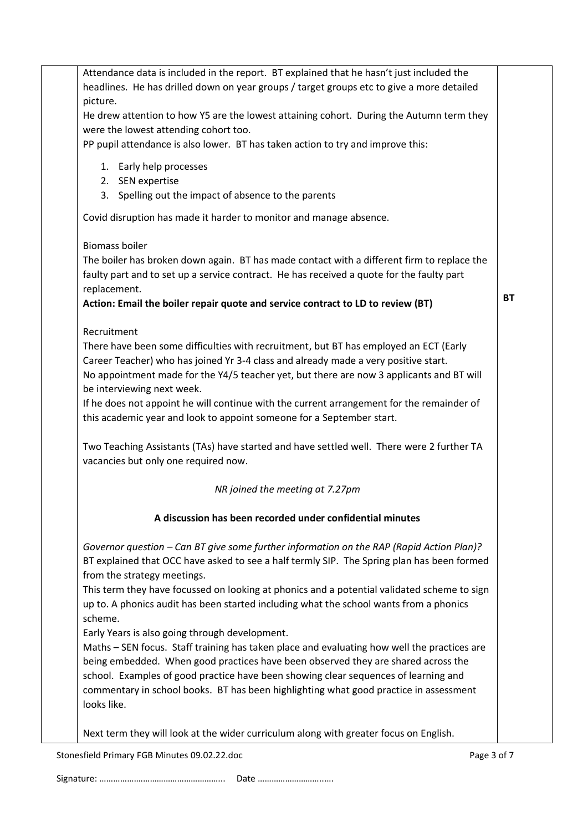| Attendance data is included in the report. BT explained that he hasn't just included the    |           |
|---------------------------------------------------------------------------------------------|-----------|
| headlines. He has drilled down on year groups / target groups etc to give a more detailed   |           |
| picture.                                                                                    |           |
| He drew attention to how Y5 are the lowest attaining cohort. During the Autumn term they    |           |
| were the lowest attending cohort too.                                                       |           |
| PP pupil attendance is also lower. BT has taken action to try and improve this:             |           |
|                                                                                             |           |
| 1. Early help processes                                                                     |           |
| 2. SEN expertise                                                                            |           |
| 3. Spelling out the impact of absence to the parents                                        |           |
| Covid disruption has made it harder to monitor and manage absence.                          |           |
| <b>Biomass boiler</b>                                                                       |           |
| The boiler has broken down again. BT has made contact with a different firm to replace the  |           |
| faulty part and to set up a service contract. He has received a quote for the faulty part   |           |
| replacement.                                                                                |           |
| Action: Email the boiler repair quote and service contract to LD to review (BT)             | <b>BT</b> |
| Recruitment                                                                                 |           |
| There have been some difficulties with recruitment, but BT has employed an ECT (Early       |           |
| Career Teacher) who has joined Yr 3-4 class and already made a very positive start.         |           |
| No appointment made for the Y4/5 teacher yet, but there are now 3 applicants and BT will    |           |
| be interviewing next week.                                                                  |           |
| If he does not appoint he will continue with the current arrangement for the remainder of   |           |
| this academic year and look to appoint someone for a September start.                       |           |
| Two Teaching Assistants (TAs) have started and have settled well. There were 2 further TA   |           |
| vacancies but only one required now.                                                        |           |
| NR joined the meeting at 7.27pm                                                             |           |
| A discussion has been recorded under confidential minutes                                   |           |
|                                                                                             |           |
| Governor question - Can BT give some further information on the RAP (Rapid Action Plan)?    |           |
| BT explained that OCC have asked to see a half termly SIP. The Spring plan has been formed  |           |
| from the strategy meetings.                                                                 |           |
| This term they have focussed on looking at phonics and a potential validated scheme to sign |           |
| up to. A phonics audit has been started including what the school wants from a phonics      |           |
| scheme.                                                                                     |           |
| Early Years is also going through development.                                              |           |
| Maths - SEN focus. Staff training has taken place and evaluating how well the practices are |           |
| being embedded. When good practices have been observed they are shared across the           |           |
| school. Examples of good practice have been showing clear sequences of learning and         |           |
| commentary in school books. BT has been highlighting what good practice in assessment       |           |
| looks like.                                                                                 |           |
|                                                                                             |           |
| Next term they will look at the wider curriculum along with greater focus on English.       |           |

Stonesfield Primary FGB Minutes 09.02.22.doc Page 3 of 7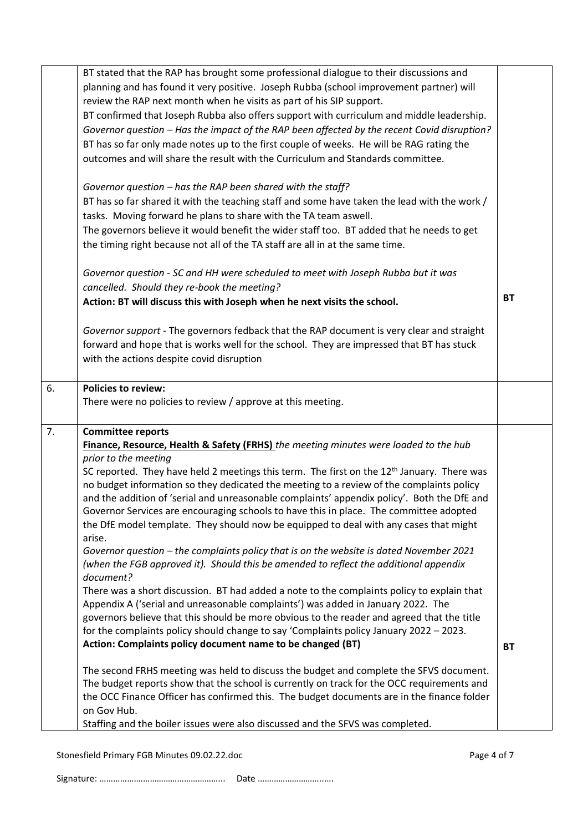|    | BT stated that the RAP has brought some professional dialogue to their discussions and                                                                                                |           |
|----|---------------------------------------------------------------------------------------------------------------------------------------------------------------------------------------|-----------|
|    | planning and has found it very positive. Joseph Rubba (school improvement partner) will                                                                                               |           |
|    | review the RAP next month when he visits as part of his SIP support.                                                                                                                  |           |
|    | BT confirmed that Joseph Rubba also offers support with curriculum and middle leadership.                                                                                             |           |
|    | Governor question - Has the impact of the RAP been affected by the recent Covid disruption?                                                                                           |           |
|    | BT has so far only made notes up to the first couple of weeks. He will be RAG rating the                                                                                              |           |
|    | outcomes and will share the result with the Curriculum and Standards committee.                                                                                                       |           |
|    |                                                                                                                                                                                       |           |
|    | Governor question - has the RAP been shared with the staff?                                                                                                                           |           |
|    | BT has so far shared it with the teaching staff and some have taken the lead with the work /                                                                                          |           |
|    | tasks. Moving forward he plans to share with the TA team aswell.                                                                                                                      |           |
|    | The governors believe it would benefit the wider staff too. BT added that he needs to get                                                                                             |           |
|    | the timing right because not all of the TA staff are all in at the same time.                                                                                                         |           |
|    |                                                                                                                                                                                       |           |
|    | Governor question - SC and HH were scheduled to meet with Joseph Rubba but it was                                                                                                     |           |
|    | cancelled. Should they re-book the meeting?                                                                                                                                           | <b>BT</b> |
|    | Action: BT will discuss this with Joseph when he next visits the school.                                                                                                              |           |
|    | Governor support - The governors fedback that the RAP document is very clear and straight                                                                                             |           |
|    | forward and hope that is works well for the school. They are impressed that BT has stuck                                                                                              |           |
|    | with the actions despite covid disruption                                                                                                                                             |           |
|    |                                                                                                                                                                                       |           |
| 6. | <b>Policies to review:</b>                                                                                                                                                            |           |
|    | There were no policies to review / approve at this meeting.                                                                                                                           |           |
| 7. | <b>Committee reports</b>                                                                                                                                                              |           |
|    |                                                                                                                                                                                       |           |
|    |                                                                                                                                                                                       |           |
|    | Finance, Resource, Health & Safety (FRHS) the meeting minutes were loaded to the hub                                                                                                  |           |
|    | prior to the meeting                                                                                                                                                                  |           |
|    | SC reported. They have held 2 meetings this term. The first on the $12th$ January. There was                                                                                          |           |
|    | no budget information so they dedicated the meeting to a review of the complaints policy                                                                                              |           |
|    | and the addition of 'serial and unreasonable complaints' appendix policy'. Both the DfE and<br>Governor Services are encouraging schools to have this in place. The committee adopted |           |
|    | the DfE model template. They should now be equipped to deal with any cases that might                                                                                                 |           |
|    | arise.                                                                                                                                                                                |           |
|    | Governor question - the complaints policy that is on the website is dated November 2021                                                                                               |           |
|    | (when the FGB approved it). Should this be amended to reflect the additional appendix                                                                                                 |           |
|    | document?                                                                                                                                                                             |           |
|    | There was a short discussion. BT had added a note to the complaints policy to explain that                                                                                            |           |
|    | Appendix A ('serial and unreasonable complaints') was added in January 2022. The                                                                                                      |           |
|    | governors believe that this should be more obvious to the reader and agreed that the title                                                                                            |           |
|    | for the complaints policy should change to say 'Complaints policy January 2022 - 2023.                                                                                                |           |
|    | Action: Complaints policy document name to be changed (BT)                                                                                                                            | <b>BT</b> |
|    | The second FRHS meeting was held to discuss the budget and complete the SFVS document.                                                                                                |           |
|    | The budget reports show that the school is currently on track for the OCC requirements and                                                                                            |           |
|    | the OCC Finance Officer has confirmed this. The budget documents are in the finance folder                                                                                            |           |
|    | on Gov Hub.<br>Staffing and the boiler issues were also discussed and the SFVS was completed.                                                                                         |           |

Stonesfield Primary FGB Minutes 09.02.22.doc Page 4 of 7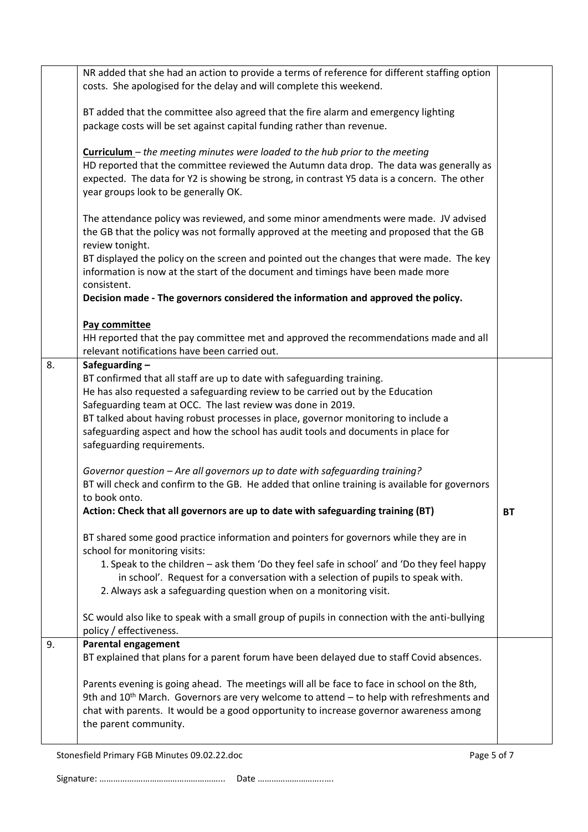|    | NR added that she had an action to provide a terms of reference for different staffing option<br>costs. She apologised for the delay and will complete this weekend.                                                                                                                                                  |           |
|----|-----------------------------------------------------------------------------------------------------------------------------------------------------------------------------------------------------------------------------------------------------------------------------------------------------------------------|-----------|
|    | BT added that the committee also agreed that the fire alarm and emergency lighting<br>package costs will be set against capital funding rather than revenue.                                                                                                                                                          |           |
|    | <b>Curriculum</b> – the meeting minutes were loaded to the hub prior to the meeting<br>HD reported that the committee reviewed the Autumn data drop. The data was generally as<br>expected. The data for Y2 is showing be strong, in contrast Y5 data is a concern. The other<br>year groups look to be generally OK. |           |
|    | The attendance policy was reviewed, and some minor amendments were made. JV advised<br>the GB that the policy was not formally approved at the meeting and proposed that the GB<br>review tonight.                                                                                                                    |           |
|    | BT displayed the policy on the screen and pointed out the changes that were made. The key<br>information is now at the start of the document and timings have been made more<br>consistent.                                                                                                                           |           |
|    | Decision made - The governors considered the information and approved the policy.                                                                                                                                                                                                                                     |           |
|    | Pay committee<br>HH reported that the pay committee met and approved the recommendations made and all<br>relevant notifications have been carried out.                                                                                                                                                                |           |
| 8. | Safeguarding-                                                                                                                                                                                                                                                                                                         |           |
|    | BT confirmed that all staff are up to date with safeguarding training.<br>He has also requested a safeguarding review to be carried out by the Education                                                                                                                                                              |           |
|    | Safeguarding team at OCC. The last review was done in 2019.                                                                                                                                                                                                                                                           |           |
|    | BT talked about having robust processes in place, governor monitoring to include a                                                                                                                                                                                                                                    |           |
|    | safeguarding aspect and how the school has audit tools and documents in place for<br>safeguarding requirements.                                                                                                                                                                                                       |           |
|    | Governor question - Are all governors up to date with safeguarding training?<br>BT will check and confirm to the GB. He added that online training is available for governors<br>to book onto.                                                                                                                        |           |
|    | Action: Check that all governors are up to date with safeguarding training (BT)                                                                                                                                                                                                                                       | <b>BT</b> |
|    | BT shared some good practice information and pointers for governors while they are in<br>school for monitoring visits:                                                                                                                                                                                                |           |
|    | 1. Speak to the children - ask them 'Do they feel safe in school' and 'Do they feel happy<br>in school'. Request for a conversation with a selection of pupils to speak with.<br>2. Always ask a safeguarding question when on a monitoring visit.                                                                    |           |
|    | SC would also like to speak with a small group of pupils in connection with the anti-bullying<br>policy / effectiveness.                                                                                                                                                                                              |           |
| 9. | <b>Parental engagement</b>                                                                                                                                                                                                                                                                                            |           |
|    | BT explained that plans for a parent forum have been delayed due to staff Covid absences.                                                                                                                                                                                                                             |           |
|    | Parents evening is going ahead. The meetings will all be face to face in school on the 8th,<br>9th and $10^{th}$ March. Governors are very welcome to attend $-$ to help with refreshments and<br>chat with parents. It would be a good opportunity to increase governor awareness among<br>the parent community.     |           |
|    |                                                                                                                                                                                                                                                                                                                       |           |

Stonesfield Primary FGB Minutes 09.02.22.doc Page 5 of 7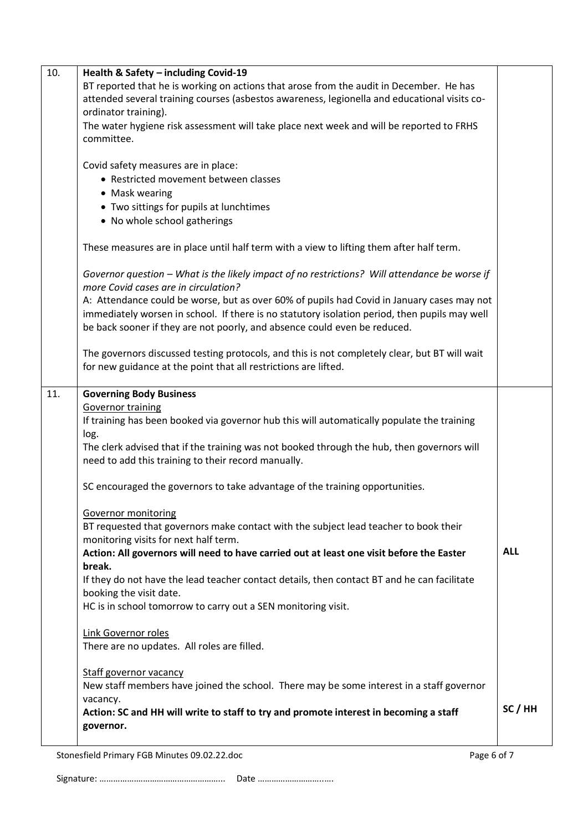| 10. | Health & Safety - including Covid-19                                                                                                  |            |
|-----|---------------------------------------------------------------------------------------------------------------------------------------|------------|
|     | BT reported that he is working on actions that arose from the audit in December. He has                                               |            |
|     | attended several training courses (asbestos awareness, legionella and educational visits co-                                          |            |
|     | ordinator training).                                                                                                                  |            |
|     | The water hygiene risk assessment will take place next week and will be reported to FRHS                                              |            |
|     | committee.                                                                                                                            |            |
|     | Covid safety measures are in place:                                                                                                   |            |
|     | • Restricted movement between classes                                                                                                 |            |
|     | • Mask wearing                                                                                                                        |            |
|     | • Two sittings for pupils at lunchtimes                                                                                               |            |
|     | • No whole school gatherings                                                                                                          |            |
|     |                                                                                                                                       |            |
|     | These measures are in place until half term with a view to lifting them after half term.                                              |            |
|     | Governor question - What is the likely impact of no restrictions? Will attendance be worse if<br>more Covid cases are in circulation? |            |
|     | A: Attendance could be worse, but as over 60% of pupils had Covid in January cases may not                                            |            |
|     | immediately worsen in school. If there is no statutory isolation period, then pupils may well                                         |            |
|     | be back sooner if they are not poorly, and absence could even be reduced.                                                             |            |
|     |                                                                                                                                       |            |
|     | The governors discussed testing protocols, and this is not completely clear, but BT will wait                                         |            |
|     | for new guidance at the point that all restrictions are lifted.                                                                       |            |
| 11. | <b>Governing Body Business</b>                                                                                                        |            |
|     | <b>Governor training</b>                                                                                                              |            |
|     | If training has been booked via governor hub this will automatically populate the training                                            |            |
|     | log.                                                                                                                                  |            |
|     | The clerk advised that if the training was not booked through the hub, then governors will                                            |            |
|     | need to add this training to their record manually.                                                                                   |            |
|     | SC encouraged the governors to take advantage of the training opportunities.                                                          |            |
|     |                                                                                                                                       |            |
|     | Governor monitoring                                                                                                                   |            |
|     | BT requested that governors make contact with the subject lead teacher to book their                                                  |            |
|     | monitoring visits for next half term.                                                                                                 |            |
|     | Action: All governors will need to have carried out at least one visit before the Easter<br>break.                                    | <b>ALL</b> |
|     | If they do not have the lead teacher contact details, then contact BT and he can facilitate                                           |            |
|     | booking the visit date.                                                                                                               |            |
|     | HC is in school tomorrow to carry out a SEN monitoring visit.                                                                         |            |
|     |                                                                                                                                       |            |
|     | Link Governor roles                                                                                                                   |            |
|     | There are no updates. All roles are filled.                                                                                           |            |
|     | <b>Staff governor vacancy</b>                                                                                                         |            |
|     | New staff members have joined the school. There may be some interest in a staff governor                                              |            |
|     | vacancy.                                                                                                                              |            |
|     | Action: SC and HH will write to staff to try and promote interest in becoming a staff                                                 | SC/HH      |
|     | governor.                                                                                                                             |            |
|     |                                                                                                                                       |            |
|     | Page 6 of 7<br>Stonesfield Primary FGB Minutes 09.02.22.doc                                                                           |            |